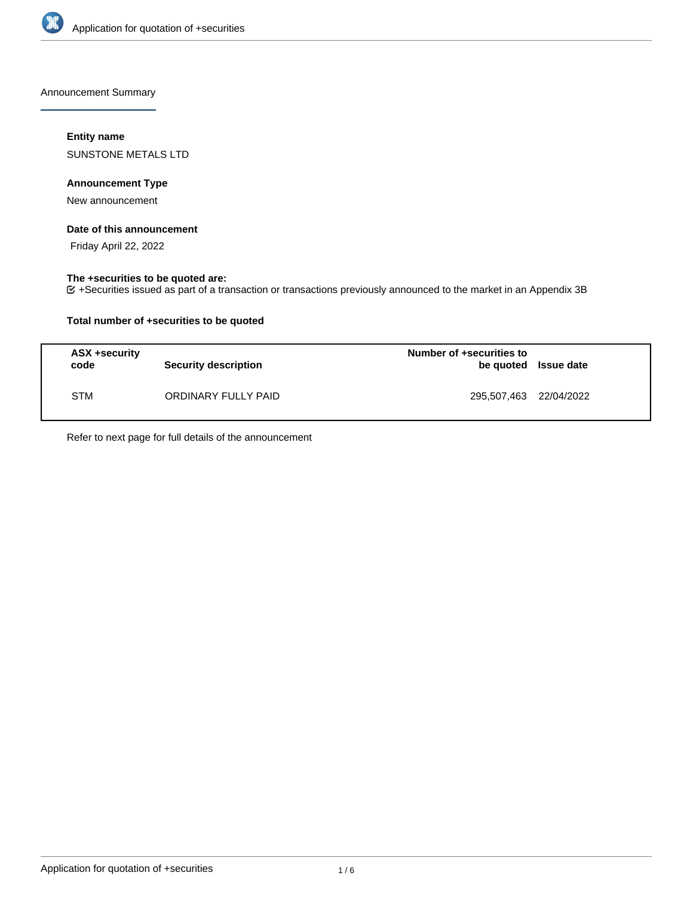

Announcement Summary

# **Entity name**

SUNSTONE METALS LTD

# **Announcement Type**

New announcement

## **Date of this announcement**

Friday April 22, 2022

# **The +securities to be quoted are:**

+Securities issued as part of a transaction or transactions previously announced to the market in an Appendix 3B

# **Total number of +securities to be quoted**

| ASX +security<br>code | <b>Security description</b> | Number of +securities to<br>be quoted Issue date |  |
|-----------------------|-----------------------------|--------------------------------------------------|--|
| <b>STM</b>            | ORDINARY FULLY PAID         | 295,507,463 22/04/2022                           |  |

Refer to next page for full details of the announcement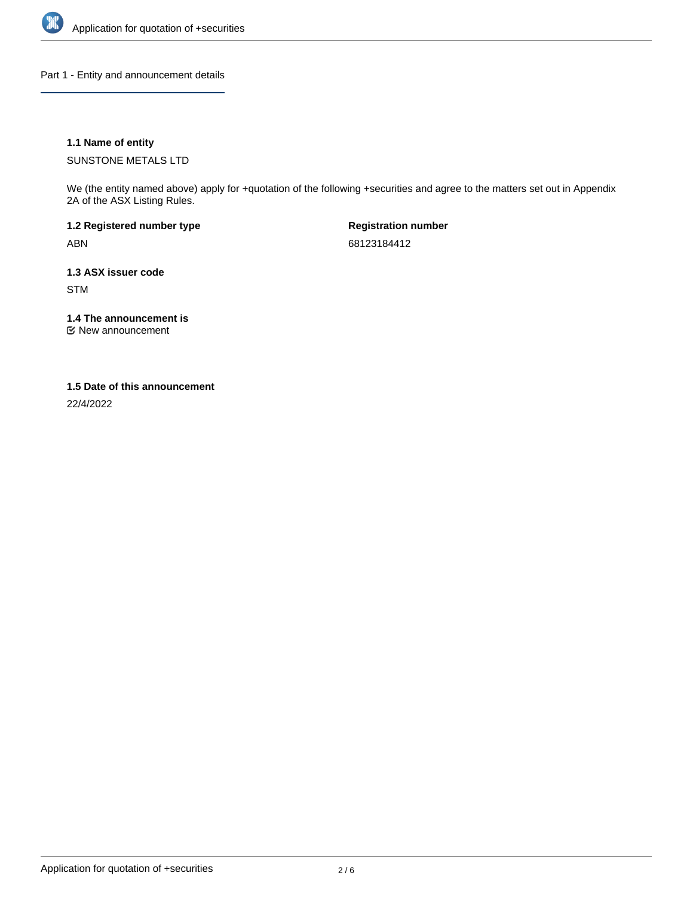

Part 1 - Entity and announcement details

# **1.1 Name of entity**

SUNSTONE METALS LTD

We (the entity named above) apply for +quotation of the following +securities and agree to the matters set out in Appendix 2A of the ASX Listing Rules.

**1.2 Registered number type** ABN

**Registration number** 68123184412

**1.3 ASX issuer code** STM

**1.4 The announcement is**

New announcement

## **1.5 Date of this announcement**

22/4/2022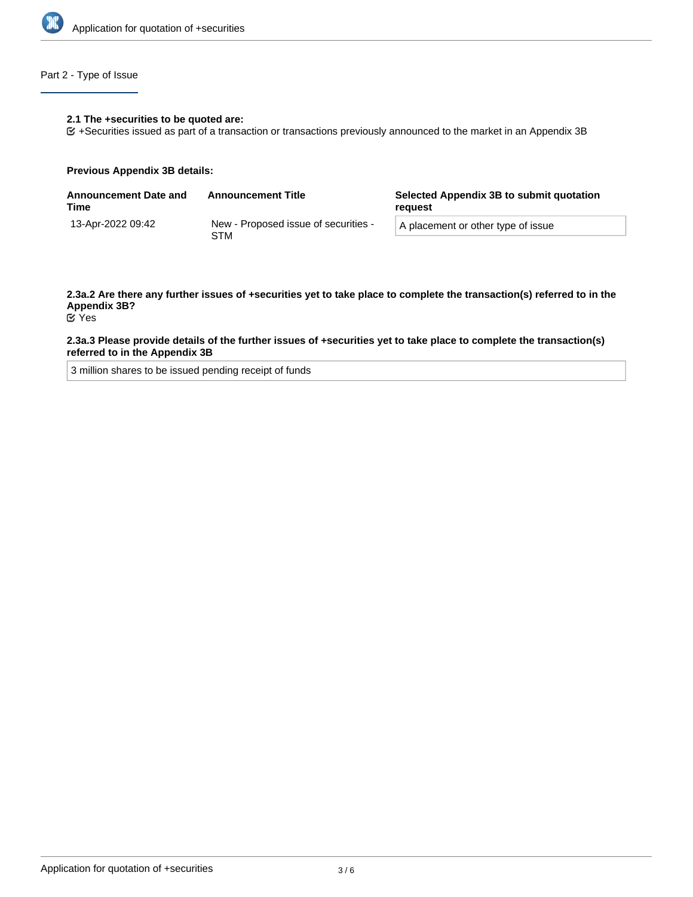

# Part 2 - Type of Issue

#### **2.1 The +securities to be quoted are:**

+Securities issued as part of a transaction or transactions previously announced to the market in an Appendix 3B

#### **Previous Appendix 3B details:**

| <b>Announcement Date and</b><br>Time | <b>Announcement Title</b>                   | Selected Appendix 3B to submit quotation<br>reauest |  |
|--------------------------------------|---------------------------------------------|-----------------------------------------------------|--|
| 13-Apr-2022 09:42                    | New - Proposed issue of securities -<br>STM | A placement or other type of issue                  |  |

#### **2.3a.2 Are there any further issues of +securities yet to take place to complete the transaction(s) referred to in the Appendix 3B?** Yes

## **2.3a.3 Please provide details of the further issues of +securities yet to take place to complete the transaction(s) referred to in the Appendix 3B**

3 million shares to be issued pending receipt of funds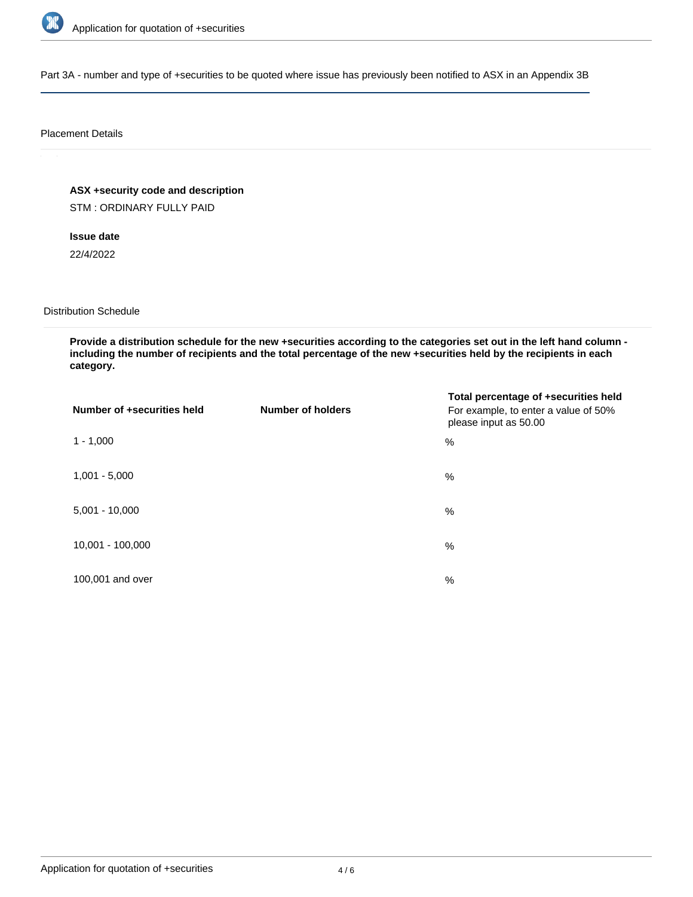

Part 3A - number and type of +securities to be quoted where issue has previously been notified to ASX in an Appendix 3B

### Placement Details

**ASX +security code and description**

STM : ORDINARY FULLY PAID

**Issue date**

22/4/2022

Distribution Schedule

**Provide a distribution schedule for the new +securities according to the categories set out in the left hand column including the number of recipients and the total percentage of the new +securities held by the recipients in each category.**

| Number of +securities held | <b>Number of holders</b> | Total percentage of +securities held<br>For example, to enter a value of 50%<br>please input as 50.00 |
|----------------------------|--------------------------|-------------------------------------------------------------------------------------------------------|
| $1 - 1,000$                |                          | %                                                                                                     |
| $1,001 - 5,000$            |                          | $\%$                                                                                                  |
| $5,001 - 10,000$           |                          | %                                                                                                     |
| 10,001 - 100,000           |                          | $\%$                                                                                                  |
| 100,001 and over           |                          | $\%$                                                                                                  |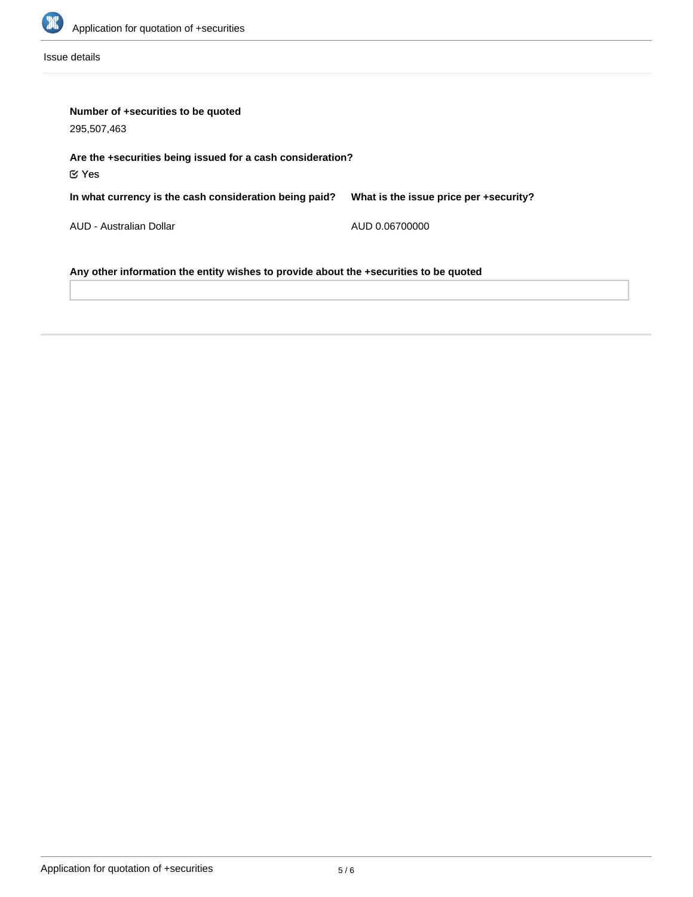

Issue details

| Number of +securities to be quoted<br>295,507,463                                     |                                        |  |  |  |
|---------------------------------------------------------------------------------------|----------------------------------------|--|--|--|
| Are the +securities being issued for a cash consideration?<br>$\mathfrak{C}$ Yes      |                                        |  |  |  |
| In what currency is the cash consideration being paid?                                | What is the issue price per +security? |  |  |  |
| AUD - Australian Dollar                                                               | AUD 0.06700000                         |  |  |  |
| Any other information the entity wishes to provide about the +securities to be quoted |                                        |  |  |  |